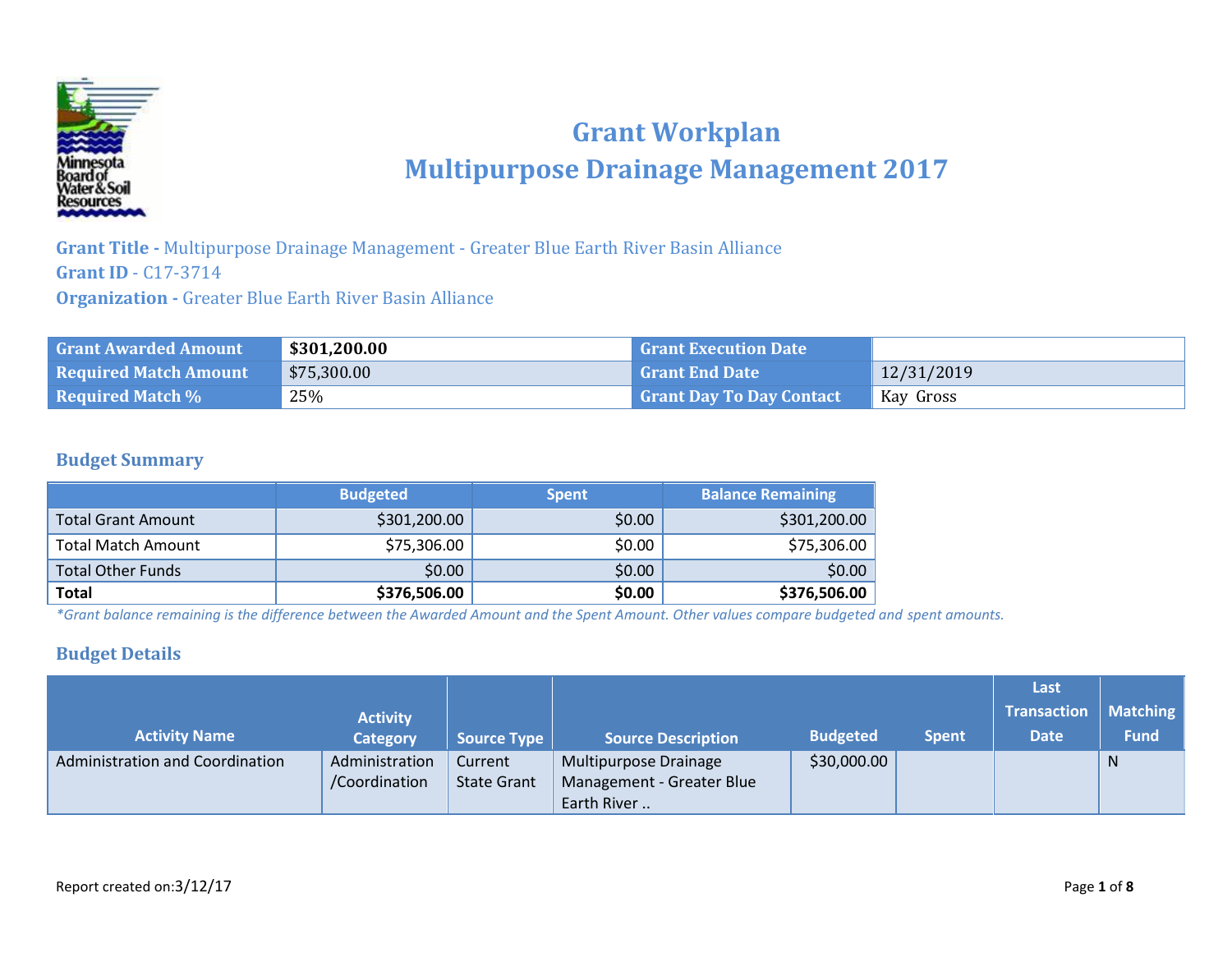

# **Grant Workplan Multipurpose Drainage Management 2017**

**Grant Title -** Multipurpose Drainage Management - Greater Blue Earth River Basin Alliance **Grant ID** - C17-3714 **Organization -** Greater Blue Earth River Basin Alliance

| <b>Grant Awarded Amount</b>  | \$301,200.00 | <b>Grant Execution Date</b>     |            |
|------------------------------|--------------|---------------------------------|------------|
| <b>Required Match Amount</b> | \$75,300.00  | <b>Grant End Date</b>           | 12/31/2019 |
| <b>Required Match %</b>      | 25%          | <b>Grant Day To Day Contact</b> | Kay Gross  |

#### **Budget Summary**

|                           | <b>Budgeted</b> | <b>Spent</b> | <b>Balance Remaining</b> |
|---------------------------|-----------------|--------------|--------------------------|
| <b>Total Grant Amount</b> | \$301,200.00    | \$0.00       | \$301,200.00             |
| <b>Total Match Amount</b> | \$75,306.00     | \$0.00       | \$75,306.00              |
| <b>Total Other Funds</b>  | \$0.00          | \$0.00       | \$0.00                   |
| <b>Total</b>              | \$376,506.00    | \$0.00       | \$376,506.00             |

*\*Grant balance remaining is the difference between the Awarded Amount and the Spent Amount. Other values compare budgeted and spent amounts.*

#### **Budget Details**

|                                 |                 |                    |                           |                 |              | Last               |                 |
|---------------------------------|-----------------|--------------------|---------------------------|-----------------|--------------|--------------------|-----------------|
|                                 | <b>Activity</b> |                    |                           |                 |              | <b>Transaction</b> | <b>Matching</b> |
| <b>Activity Name</b>            | <b>Category</b> | <b>Source Type</b> | <b>Source Description</b> | <b>Budgeted</b> | <b>Spent</b> | <b>Date</b>        | <b>Fund</b>     |
| Administration and Coordination | Administration  | Current            | Multipurpose Drainage     | \$30,000.00     |              |                    | N               |
|                                 | /Coordination   | <b>State Grant</b> | Management - Greater Blue |                 |              |                    |                 |
|                                 |                 |                    | Earth River               |                 |              |                    |                 |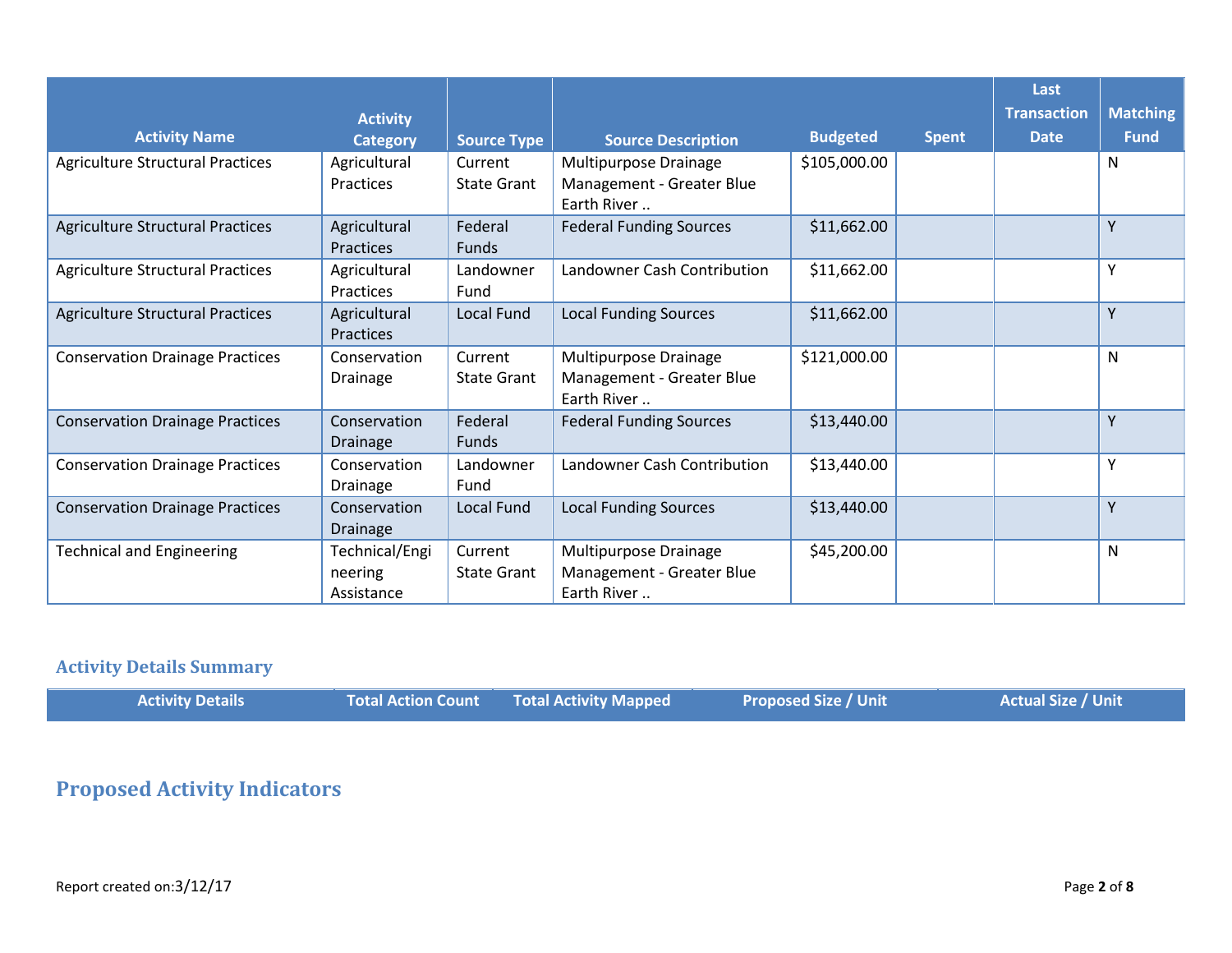|                                         |                                         |                               |                                                                   |                 |              | Last               |                 |
|-----------------------------------------|-----------------------------------------|-------------------------------|-------------------------------------------------------------------|-----------------|--------------|--------------------|-----------------|
|                                         | <b>Activity</b>                         |                               |                                                                   |                 |              | <b>Transaction</b> | <b>Matching</b> |
| <b>Activity Name</b>                    | <b>Category</b>                         | <b>Source Type</b>            | <b>Source Description</b>                                         | <b>Budgeted</b> | <b>Spent</b> | <b>Date</b>        | <b>Fund</b>     |
| <b>Agriculture Structural Practices</b> | Agricultural<br><b>Practices</b>        | Current<br><b>State Grant</b> | Multipurpose Drainage<br>Management - Greater Blue<br>Earth River | \$105,000.00    |              |                    | N               |
| <b>Agriculture Structural Practices</b> | Agricultural<br><b>Practices</b>        | Federal<br><b>Funds</b>       | <b>Federal Funding Sources</b>                                    | \$11,662.00     |              |                    | Υ               |
| <b>Agriculture Structural Practices</b> | Agricultural<br>Practices               | Landowner<br>Fund             | Landowner Cash Contribution                                       | \$11,662.00     |              |                    | Υ               |
| <b>Agriculture Structural Practices</b> | Agricultural<br>Practices               | <b>Local Fund</b>             | <b>Local Funding Sources</b>                                      | \$11,662.00     |              |                    | Y               |
| <b>Conservation Drainage Practices</b>  | Conservation<br><b>Drainage</b>         | Current<br><b>State Grant</b> | Multipurpose Drainage<br>Management - Greater Blue<br>Earth River | \$121,000.00    |              |                    | N               |
| <b>Conservation Drainage Practices</b>  | Conservation<br><b>Drainage</b>         | Federal<br><b>Funds</b>       | <b>Federal Funding Sources</b>                                    | \$13,440.00     |              |                    | Y               |
| <b>Conservation Drainage Practices</b>  | Conservation<br><b>Drainage</b>         | Landowner<br>Fund             | Landowner Cash Contribution                                       | \$13,440.00     |              |                    | Υ               |
| <b>Conservation Drainage Practices</b>  | Conservation<br><b>Drainage</b>         | Local Fund                    | <b>Local Funding Sources</b>                                      | \$13,440.00     |              |                    | Y               |
| <b>Technical and Engineering</b>        | Technical/Engi<br>neering<br>Assistance | Current<br><b>State Grant</b> | Multipurpose Drainage<br>Management - Greater Blue<br>Earth River | \$45,200.00     |              |                    | N               |

## **Activity Details Summary**

| <b>Activity Details</b> | Total Action Count | <b>Total Activity Mapped</b> | <b>Proposed Size / Unit</b> | <b>Actual Size / Unit</b> |
|-------------------------|--------------------|------------------------------|-----------------------------|---------------------------|
|-------------------------|--------------------|------------------------------|-----------------------------|---------------------------|

## **Proposed Activity Indicators**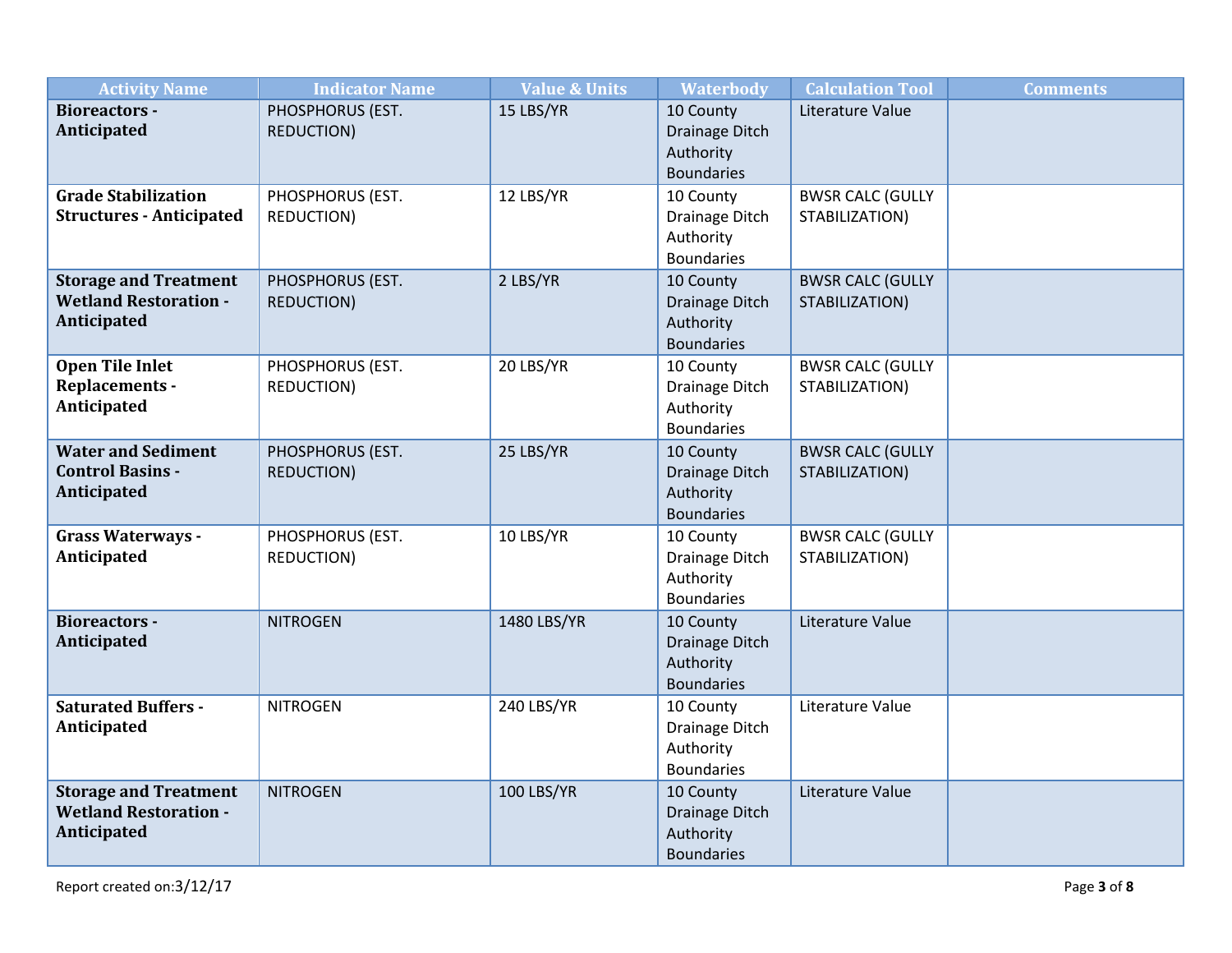| <b>Activity Name</b>                                                        | <b>Indicator Name</b>                 | <b>Value &amp; Units</b> | <b>Waterbody</b>                                              | <b>Calculation Tool</b>                   | <b>Comments</b> |
|-----------------------------------------------------------------------------|---------------------------------------|--------------------------|---------------------------------------------------------------|-------------------------------------------|-----------------|
| <b>Bioreactors -</b><br>Anticipated                                         | PHOSPHORUS (EST.<br><b>REDUCTION)</b> | 15 LBS/YR                | 10 County<br>Drainage Ditch<br>Authority<br><b>Boundaries</b> | Literature Value                          |                 |
| <b>Grade Stabilization</b><br><b>Structures - Anticipated</b>               | PHOSPHORUS (EST.<br><b>REDUCTION)</b> | 12 LBS/YR                | 10 County<br>Drainage Ditch<br>Authority<br><b>Boundaries</b> | <b>BWSR CALC (GULLY</b><br>STABILIZATION) |                 |
| <b>Storage and Treatment</b><br><b>Wetland Restoration -</b><br>Anticipated | PHOSPHORUS (EST.<br><b>REDUCTION)</b> | 2 LBS/YR                 | 10 County<br>Drainage Ditch<br>Authority<br><b>Boundaries</b> | <b>BWSR CALC (GULLY</b><br>STABILIZATION) |                 |
| <b>Open Tile Inlet</b><br>Replacements -<br>Anticipated                     | PHOSPHORUS (EST.<br><b>REDUCTION)</b> | 20 LBS/YR                | 10 County<br>Drainage Ditch<br>Authority<br><b>Boundaries</b> | <b>BWSR CALC (GULLY</b><br>STABILIZATION) |                 |
| <b>Water and Sediment</b><br><b>Control Basins -</b><br>Anticipated         | PHOSPHORUS (EST.<br><b>REDUCTION)</b> | 25 LBS/YR                | 10 County<br>Drainage Ditch<br>Authority<br><b>Boundaries</b> | <b>BWSR CALC (GULLY</b><br>STABILIZATION) |                 |
| <b>Grass Waterways -</b><br>Anticipated                                     | PHOSPHORUS (EST.<br><b>REDUCTION)</b> | 10 LBS/YR                | 10 County<br>Drainage Ditch<br>Authority<br><b>Boundaries</b> | <b>BWSR CALC (GULLY</b><br>STABILIZATION) |                 |
| <b>Bioreactors -</b><br>Anticipated                                         | <b>NITROGEN</b>                       | 1480 LBS/YR              | 10 County<br>Drainage Ditch<br>Authority<br><b>Boundaries</b> | Literature Value                          |                 |
| <b>Saturated Buffers -</b><br>Anticipated                                   | <b>NITROGEN</b>                       | 240 LBS/YR               | 10 County<br>Drainage Ditch<br>Authority<br><b>Boundaries</b> | Literature Value                          |                 |
| <b>Storage and Treatment</b><br><b>Wetland Restoration -</b><br>Anticipated | <b>NITROGEN</b>                       | <b>100 LBS/YR</b>        | 10 County<br>Drainage Ditch<br>Authority<br><b>Boundaries</b> | Literature Value                          |                 |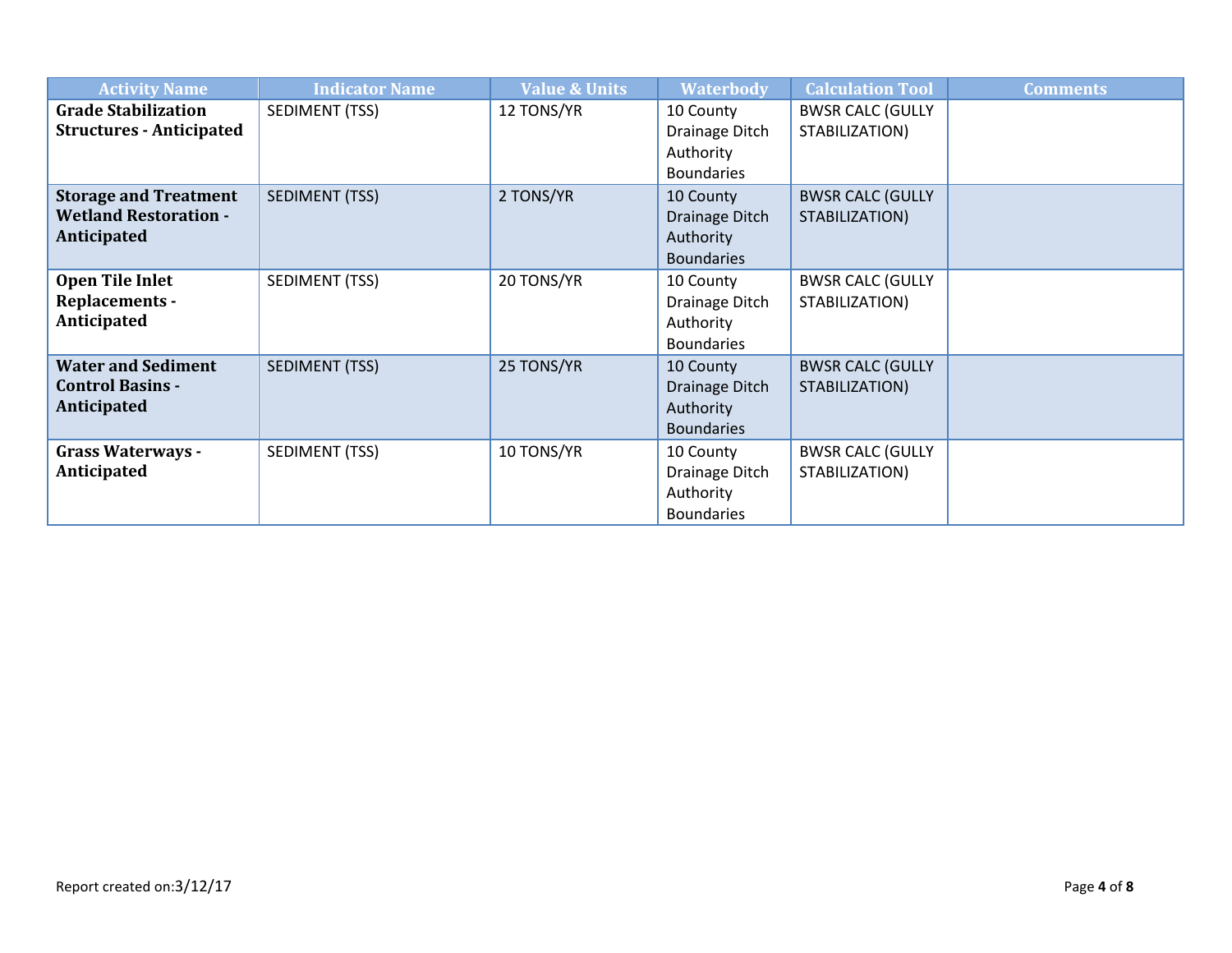| <b>Activity Name</b>                                                        | <b>Indicator Name</b> | <b>Value &amp; Units</b> | <b>Waterbody</b>                                                     | <b>Calculation Tool</b>                   | <b>Comments</b> |
|-----------------------------------------------------------------------------|-----------------------|--------------------------|----------------------------------------------------------------------|-------------------------------------------|-----------------|
| <b>Grade Stabilization</b><br><b>Structures - Anticipated</b>               | SEDIMENT (TSS)        | 12 TONS/YR               | 10 County<br>Drainage Ditch<br>Authority<br><b>Boundaries</b>        | <b>BWSR CALC (GULLY</b><br>STABILIZATION) |                 |
| <b>Storage and Treatment</b><br><b>Wetland Restoration -</b><br>Anticipated | <b>SEDIMENT (TSS)</b> | 2 TONS/YR                | 10 County<br>Drainage Ditch<br>Authority<br><b>Boundaries</b>        | <b>BWSR CALC (GULLY</b><br>STABILIZATION) |                 |
| <b>Open Tile Inlet</b><br><b>Replacements -</b><br>Anticipated              | SEDIMENT (TSS)        | 20 TONS/YR               | 10 County<br>Drainage Ditch<br>Authority<br><b>Boundaries</b>        | <b>BWSR CALC (GULLY</b><br>STABILIZATION) |                 |
| <b>Water and Sediment</b><br><b>Control Basins -</b><br>Anticipated         | <b>SEDIMENT (TSS)</b> | 25 TONS/YR               | 10 County<br><b>Drainage Ditch</b><br>Authority<br><b>Boundaries</b> | <b>BWSR CALC (GULLY</b><br>STABILIZATION) |                 |
| <b>Grass Waterways -</b><br>Anticipated                                     | SEDIMENT (TSS)        | 10 TONS/YR               | 10 County<br>Drainage Ditch<br>Authority<br><b>Boundaries</b>        | <b>BWSR CALC (GULLY</b><br>STABILIZATION) |                 |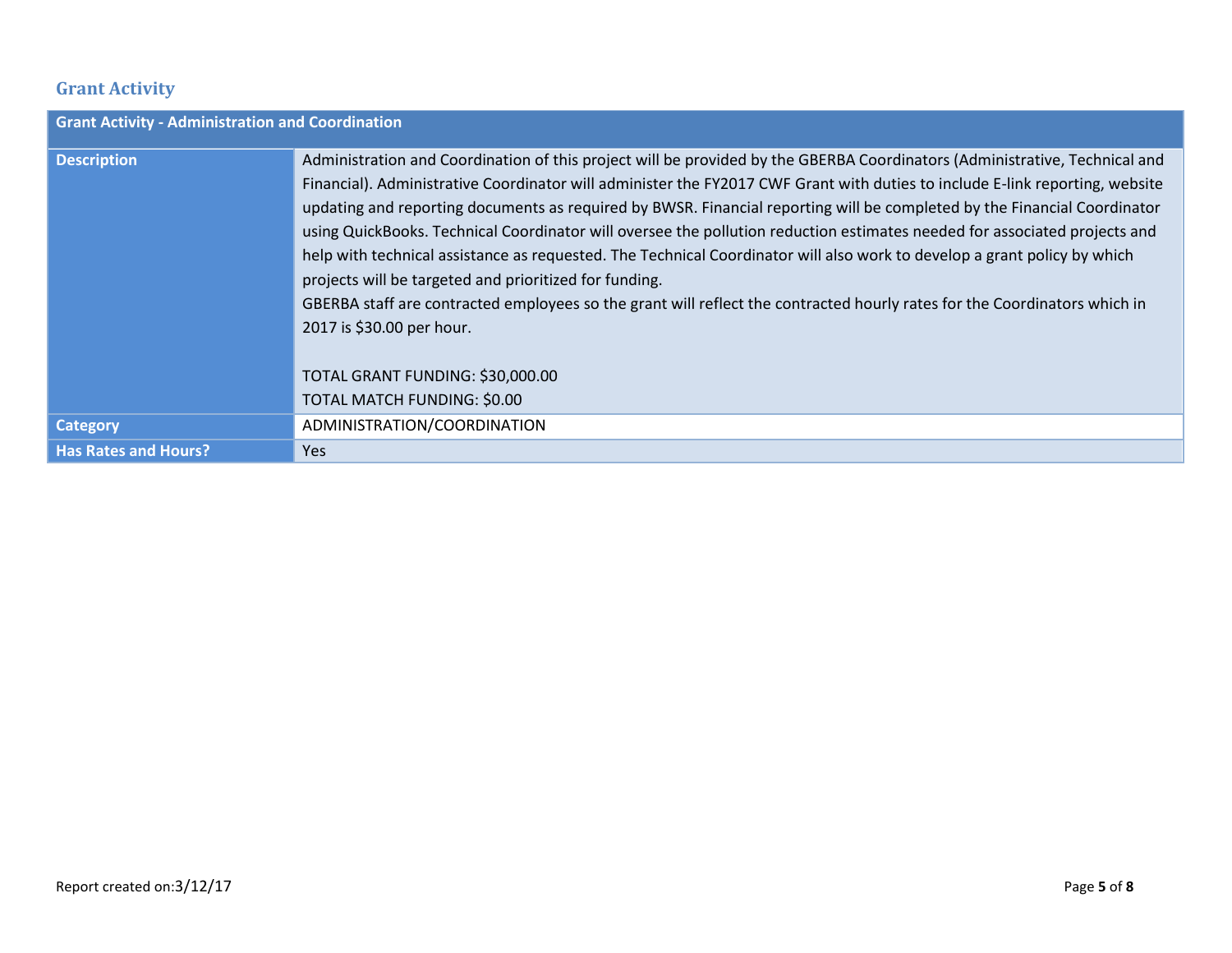## **Grant Activity**

| <b>Grant Activity - Administration and Coordination</b> |                                                                                                                                                                                                                                                                                                                                                                                                                                                                                                                                                                                                                                                                                                                                                                                                                                                                                                                                        |
|---------------------------------------------------------|----------------------------------------------------------------------------------------------------------------------------------------------------------------------------------------------------------------------------------------------------------------------------------------------------------------------------------------------------------------------------------------------------------------------------------------------------------------------------------------------------------------------------------------------------------------------------------------------------------------------------------------------------------------------------------------------------------------------------------------------------------------------------------------------------------------------------------------------------------------------------------------------------------------------------------------|
| <b>Description</b>                                      | Administration and Coordination of this project will be provided by the GBERBA Coordinators (Administrative, Technical and<br>Financial). Administrative Coordinator will administer the FY2017 CWF Grant with duties to include E-link reporting, website<br>updating and reporting documents as required by BWSR. Financial reporting will be completed by the Financial Coordinator<br>using QuickBooks. Technical Coordinator will oversee the pollution reduction estimates needed for associated projects and<br>help with technical assistance as requested. The Technical Coordinator will also work to develop a grant policy by which<br>projects will be targeted and prioritized for funding.<br>GBERBA staff are contracted employees so the grant will reflect the contracted hourly rates for the Coordinators which in<br>2017 is \$30.00 per hour.<br>TOTAL GRANT FUNDING: \$30,000.00<br>TOTAL MATCH FUNDING: \$0.00 |
| <b>Category</b>                                         | ADMINISTRATION/COORDINATION                                                                                                                                                                                                                                                                                                                                                                                                                                                                                                                                                                                                                                                                                                                                                                                                                                                                                                            |
| <b>Has Rates and Hours?</b>                             | <b>Yes</b>                                                                                                                                                                                                                                                                                                                                                                                                                                                                                                                                                                                                                                                                                                                                                                                                                                                                                                                             |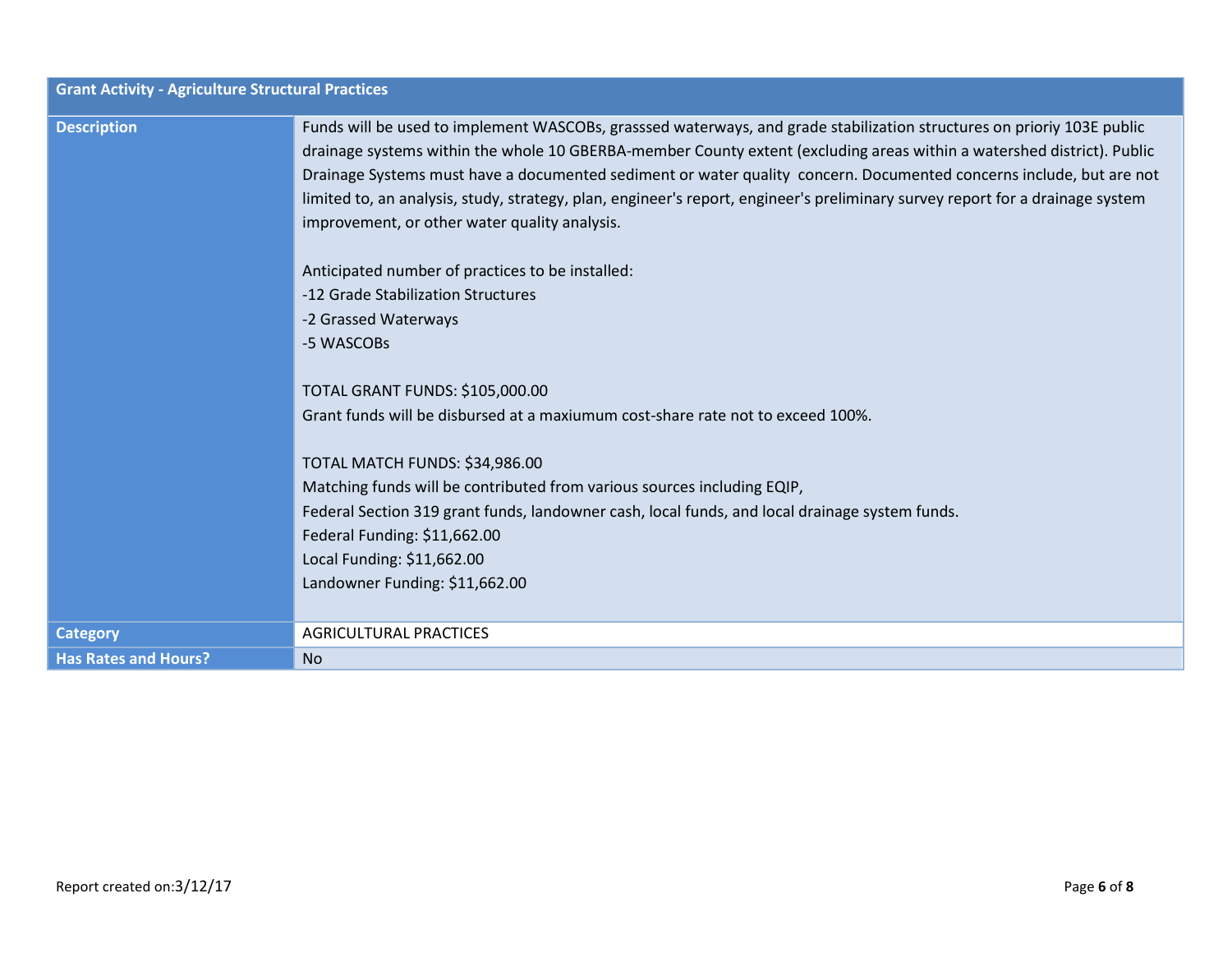| <b>Grant Activity - Agriculture Structural Practices</b> |                                                                                                                                                                                                                                                                                                                                                                                                                                                                                                                                                                                                                                                                                                                                                                                                                                                                                                                                                                                                                                                                                                                                       |
|----------------------------------------------------------|---------------------------------------------------------------------------------------------------------------------------------------------------------------------------------------------------------------------------------------------------------------------------------------------------------------------------------------------------------------------------------------------------------------------------------------------------------------------------------------------------------------------------------------------------------------------------------------------------------------------------------------------------------------------------------------------------------------------------------------------------------------------------------------------------------------------------------------------------------------------------------------------------------------------------------------------------------------------------------------------------------------------------------------------------------------------------------------------------------------------------------------|
| <b>Description</b>                                       | Funds will be used to implement WASCOBs, grasssed waterways, and grade stabilization structures on prioriy 103E public<br>drainage systems within the whole 10 GBERBA-member County extent (excluding areas within a watershed district). Public<br>Drainage Systems must have a documented sediment or water quality concern. Documented concerns include, but are not<br>limited to, an analysis, study, strategy, plan, engineer's report, engineer's preliminary survey report for a drainage system<br>improvement, or other water quality analysis.<br>Anticipated number of practices to be installed:<br>-12 Grade Stabilization Structures<br>-2 Grassed Waterways<br>-5 WASCOBs<br><b>TOTAL GRANT FUNDS: \$105,000.00</b><br>Grant funds will be disbursed at a maxiumum cost-share rate not to exceed 100%.<br>TOTAL MATCH FUNDS: \$34,986.00<br>Matching funds will be contributed from various sources including EQIP,<br>Federal Section 319 grant funds, landowner cash, local funds, and local drainage system funds.<br>Federal Funding: \$11,662.00<br>Local Funding: \$11,662.00<br>Landowner Funding: \$11,662.00 |
| <b>Category</b>                                          | <b>AGRICULTURAL PRACTICES</b>                                                                                                                                                                                                                                                                                                                                                                                                                                                                                                                                                                                                                                                                                                                                                                                                                                                                                                                                                                                                                                                                                                         |
| <b>Has Rates and Hours?</b>                              | No                                                                                                                                                                                                                                                                                                                                                                                                                                                                                                                                                                                                                                                                                                                                                                                                                                                                                                                                                                                                                                                                                                                                    |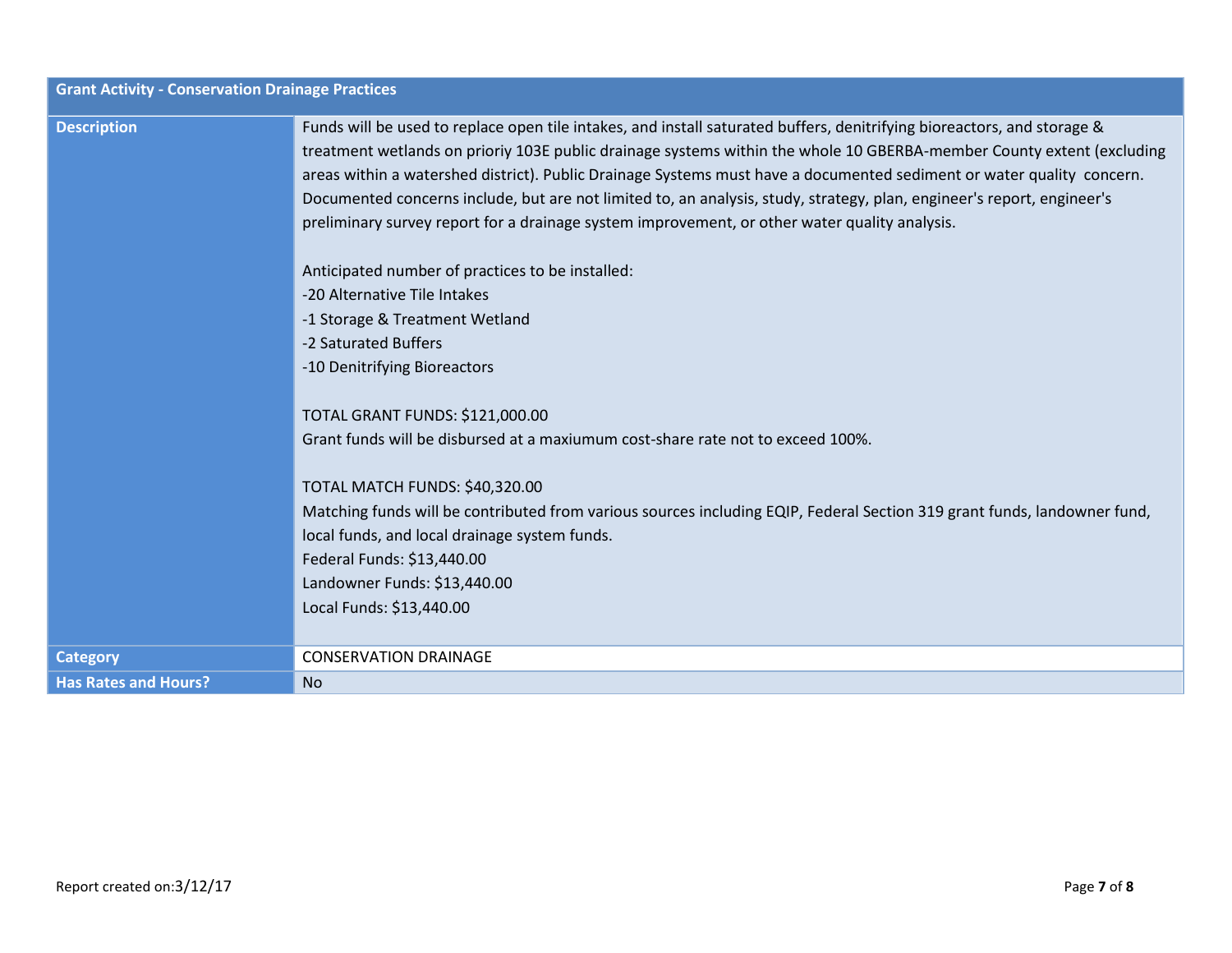| <b>Grant Activity - Conservation Drainage Practices</b> |                                                                                                                                                                                                                                                                                                                                                                                                                                                                                                                                                                                                                                                                                                                                                                                                                                                                                                                                                                                                                                                                                                                                                                                                                          |
|---------------------------------------------------------|--------------------------------------------------------------------------------------------------------------------------------------------------------------------------------------------------------------------------------------------------------------------------------------------------------------------------------------------------------------------------------------------------------------------------------------------------------------------------------------------------------------------------------------------------------------------------------------------------------------------------------------------------------------------------------------------------------------------------------------------------------------------------------------------------------------------------------------------------------------------------------------------------------------------------------------------------------------------------------------------------------------------------------------------------------------------------------------------------------------------------------------------------------------------------------------------------------------------------|
| <b>Description</b>                                      | Funds will be used to replace open tile intakes, and install saturated buffers, denitrifying bioreactors, and storage &<br>treatment wetlands on prioriy 103E public drainage systems within the whole 10 GBERBA-member County extent (excluding<br>areas within a watershed district). Public Drainage Systems must have a documented sediment or water quality concern.<br>Documented concerns include, but are not limited to, an analysis, study, strategy, plan, engineer's report, engineer's<br>preliminary survey report for a drainage system improvement, or other water quality analysis.<br>Anticipated number of practices to be installed:<br>-20 Alternative Tile Intakes<br>-1 Storage & Treatment Wetland<br>-2 Saturated Buffers<br>-10 Denitrifying Bioreactors<br><b>TOTAL GRANT FUNDS: \$121,000.00</b><br>Grant funds will be disbursed at a maxiumum cost-share rate not to exceed 100%.<br>TOTAL MATCH FUNDS: \$40,320.00<br>Matching funds will be contributed from various sources including EQIP, Federal Section 319 grant funds, landowner fund,<br>local funds, and local drainage system funds.<br>Federal Funds: \$13,440.00<br>Landowner Funds: \$13,440.00<br>Local Funds: \$13,440.00 |
| <b>Category</b>                                         | <b>CONSERVATION DRAINAGE</b>                                                                                                                                                                                                                                                                                                                                                                                                                                                                                                                                                                                                                                                                                                                                                                                                                                                                                                                                                                                                                                                                                                                                                                                             |
|                                                         |                                                                                                                                                                                                                                                                                                                                                                                                                                                                                                                                                                                                                                                                                                                                                                                                                                                                                                                                                                                                                                                                                                                                                                                                                          |
| <b>Has Rates and Hours?</b>                             | <b>No</b>                                                                                                                                                                                                                                                                                                                                                                                                                                                                                                                                                                                                                                                                                                                                                                                                                                                                                                                                                                                                                                                                                                                                                                                                                |